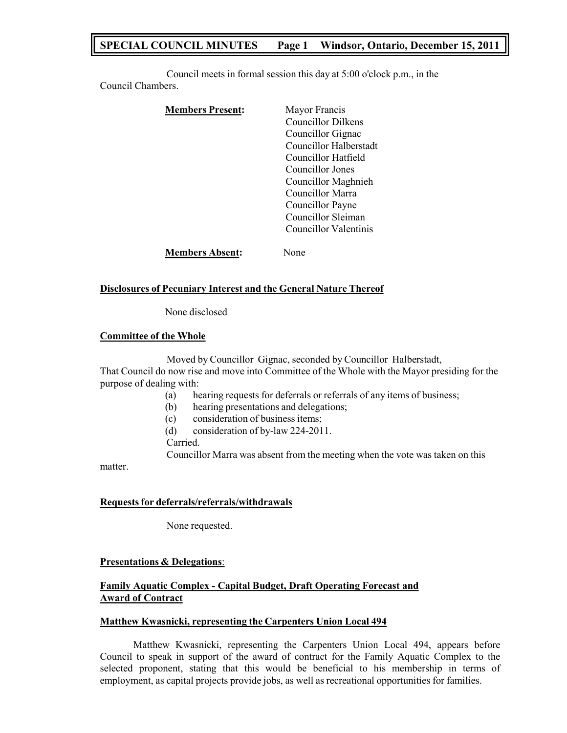# **SPECIAL COUNCIL MINUTES Page 1 Windsor, Ontario, December 15, 2011**

Council meets in formal session this day at 5:00 o'clock p.m., in the Council Chambers.

| <b>Members Present:</b> | Mayor Francis             |
|-------------------------|---------------------------|
|                         | <b>Councillor Dilkens</b> |
|                         | Councillor Gignac         |
|                         | Councillor Halberstadt    |
|                         | Councillor Hatfield       |
|                         | Councillor Jones          |
|                         | Councillor Maghnieh       |
|                         | Councillor Marra          |
|                         | Councillor Payne          |
|                         | Councillor Sleiman        |
|                         | Councillor Valentinis     |
| <b>Members Absent:</b>  | Jone                      |

### **Disclosures of Pecuniary Interest and the General Nature Thereof**

None disclosed

### **Committee of the Whole**

Moved by Councillor Gignac, seconded by Councillor Halberstadt, That Council do now rise and move into Committee of the Whole with the Mayor presiding for the purpose of dealing with:

- (a) hearing requests for deferrals or referrals of any items of business;
- (b) hearing presentations and delegations;
- (c) consideration of business items;
- (d) consideration of by-law 224-2011.

Carried.

Councillor Marra was absent from the meeting when the vote was taken on this

matter.

# **Requestsfor deferrals/referrals/withdrawals**

None requested.

# **Presentations & Delegations**:

# **Family Aquatic Complex - Capital Budget, Draft Operating Forecast and Award of Contract**

# **Matthew Kwasnicki, representing the Carpenters Union Local 494**

Matthew Kwasnicki, representing the Carpenters Union Local 494, appears before Council to speak in support of the award of contract for the Family Aquatic Complex to the selected proponent, stating that this would be beneficial to his membership in terms of employment, as capital projects provide jobs, as well as recreational opportunities for families.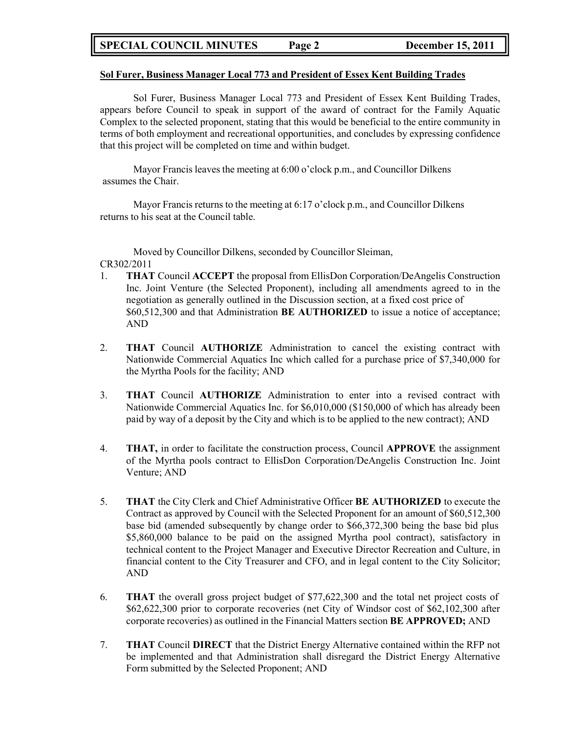# **SPECIAL COUNCIL MINUTES Page 2 December 15, 2011**

#### **Sol Furer, Business Manager Local 773 and President of Essex Kent Building Trades**

Sol Furer, Business Manager Local 773 and President of Essex Kent Building Trades, appears before Council to speak in support of the award of contract for the Family Aquatic Complex to the selected proponent, stating that this would be beneficial to the entire community in terms of both employment and recreational opportunities, and concludes by expressing confidence that this project will be completed on time and within budget.

Mayor Francis leaves the meeting at 6:00 o'clock p.m., and Councillor Dilkens assumes the Chair.

Mayor Francis returns to the meeting at 6:17 o'clock p.m., and Councillor Dilkens returns to his seat at the Council table.

Moved by Councillor Dilkens, seconded by Councillor Sleiman, CR302/2011

- 1. **THAT** Council **ACCEPT** the proposal from EllisDon Corporation/DeAngelis Construction Inc. Joint Venture (the Selected Proponent), including all amendments agreed to in the negotiation as generally outlined in the Discussion section, at a fixed cost price of \$60,512,300 and that Administration **BE AUTHORIZED** to issue a notice of acceptance; AND
- 2. **THAT** Council **AUTHORIZE** Administration to cancel the existing contract with Nationwide Commercial Aquatics Inc which called for a purchase price of \$7,340,000 for the Myrtha Pools for the facility; AND
- 3. **THAT** Council **AUTHORIZE** Administration to enter into a revised contract with Nationwide Commercial Aquatics Inc. for \$6,010,000 (\$150,000 of which has already been paid by way of a deposit by the City and which is to be applied to the new contract); AND
- 4. **THAT,** in order to facilitate the construction process, Council **APPROVE** the assignment of the Myrtha pools contract to EllisDon Corporation/DeAngelis Construction Inc. Joint Venture; AND
- 5. **THAT** the City Clerk and Chief Administrative Officer **BE AUTHORIZED** to execute the Contract as approved by Council with the Selected Proponent for an amount of \$60,512,300 base bid (amended subsequently by change order to \$66,372,300 being the base bid plus \$5,860,000 balance to be paid on the assigned Myrtha pool contract), satisfactory in technical content to the Project Manager and Executive Director Recreation and Culture, in financial content to the City Treasurer and CFO, and in legal content to the City Solicitor; AND
- 6. **THAT** the overall gross project budget of \$77,622,300 and the total net project costs of \$62,622,300 prior to corporate recoveries (net City of Windsor cost of \$62,102,300 after corporate recoveries) as outlined in the Financial Matters section **BE APPROVED;** AND
- 7. **THAT** Council **DIRECT** that the District Energy Alternative contained within the RFP not be implemented and that Administration shall disregard the District Energy Alternative Form submitted by the Selected Proponent; AND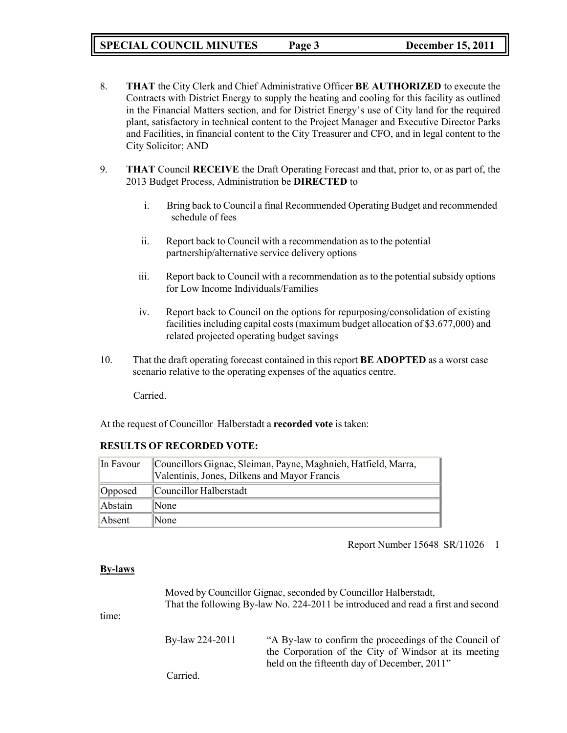**SPECIAL COUNCIL MINUTES Page 3 December 15, 2011**

- 8. **THAT** the City Clerk and Chief Administrative Officer **BE AUTHORIZED** to execute the Contracts with District Energy to supply the heating and cooling for this facility as outlined in the Financial Matters section, and for District Energy's use of City land for the required plant, satisfactory in technical content to the Project Manager and Executive Director Parks and Facilities, in financial content to the City Treasurer and CFO, and in legal content to the City Solicitor; AND
- 9. **THAT** Council **RECEIVE** the Draft Operating Forecast and that, prior to, or as part of, the 2013 Budget Process, Administration be **DIRECTED** to
	- i. Bring back to Council a final Recommended Operating Budget and recommended schedule of fees
	- ii. Report back to Council with a recommendation as to the potential partnership/alternative service delivery options
	- iii. Report back to Council with a recommendation as to the potential subsidy options for Low Income Individuals/Families
	- iv. Report back to Council on the options for repurposing/consolidation of existing facilities including capital costs (maximum budget allocation of \$3.677,000) and related projected operating budget savings
- 10. That the draft operating forecast contained in this report **BE ADOPTED** as a worst case scenario relative to the operating expenses of the aquatics centre.

Carried.

At the request of Councillor Halberstadt a **recorded vote** is taken:

# **RESULTS OF RECORDED VOTE:**

| In Favour | Councillors Gignac, Sleiman, Payne, Maghnieh, Hatfield, Marra,<br>Valentinis, Jones, Dilkens and Mayor Francis |
|-----------|----------------------------------------------------------------------------------------------------------------|
| Opposed   | Councillor Halberstadt                                                                                         |
| Abstain   | $\mathbb{N}$ one                                                                                               |
| Absent    | $\mathbb{N}$ one                                                                                               |

Report Number 15648 SR/11026 1

# **By-laws**

Moved by Councillor Gignac, seconded by Councillor Halberstadt, That the following By-law No. 224-2011 be introduced and read a first and second

time:

By-law 224-2011 "A By-law to confirm the proceedings of the Council of the Corporation of the City of Windsor at its meeting held on the fifteenth day of December, 2011"

Carried.